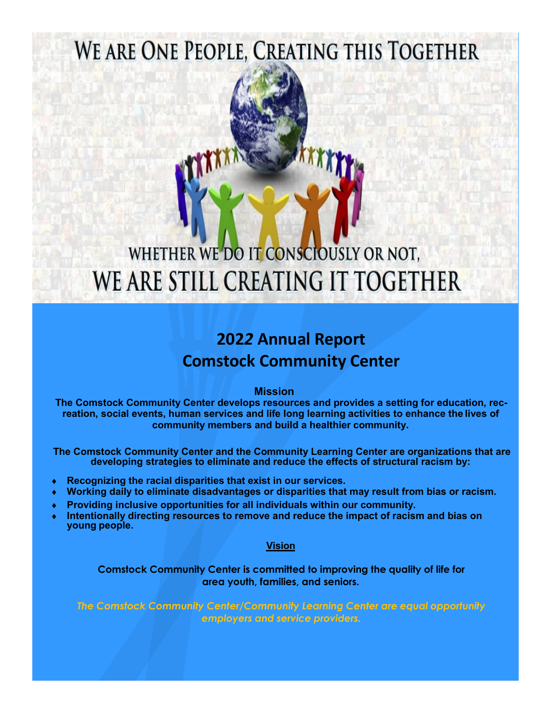# WE ARE ONE PEOPLE, CREATING THIS TOGETHER

# WHETHER WE DO IT CONSCIOUSLY OR NOT. WE ARE STILL CREATING IT TOGETHER

# **202***2* **Annual Report Comstock Community Center**

 **Mission**

**The Comstock Community Center develops resources and provides a setting for education, recreation, social events, human services and life long learning activities to enhance the lives of community members and build a healthier community.**

**The Comstock Community Center and the Community Learning Center are organizations that are developing strategies to eliminate and reduce the effects of structural racism by:**

- **Recognizing the racial disparities that exist in our services.**
- **Working daily to eliminate disadvantages or disparities that may result from bias or racism.**
- **Providing inclusive opportunities for all individuals within our community.**
- **Intentionally directing resources to remove and reduce the impact of racism and bias on young people.**

## **Vision**

**Comstock Community Center is committed to improving the quality of life for area youth, families, and seniors.**

*The Comstock Community Center/Community Learning Center are equal opportunity employers and service providers.*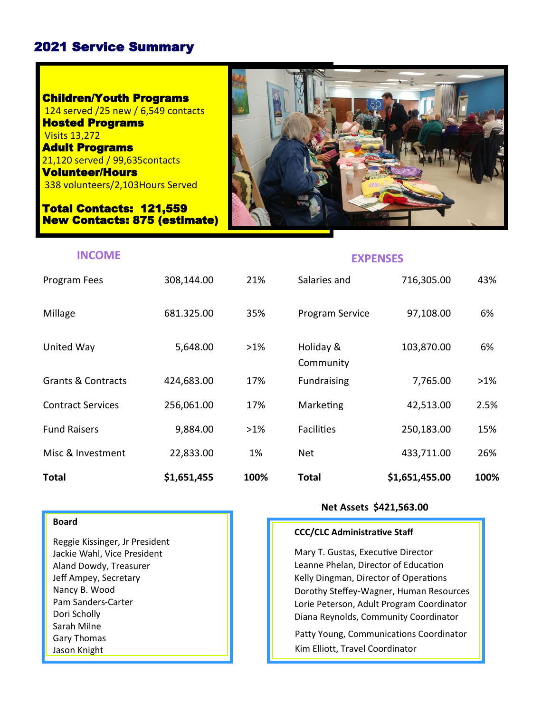# 2021 Service Summary

Children/Youth Programs 124 served /25 new / 6,549 contacts Hosted Programs Visits 13,272 Adult Programs 21,120 served / 99,635contacts Volunteer/Hours 338 volunteers/2,103Hours Served

Total Contacts: 121,559 New Contacts: 875 (estimate)



# **INCOME EXPENSES**

| <b>Total</b>             | \$1,651,455 | 100%   | Total                  | \$1,651,455.00 | 100%   |
|--------------------------|-------------|--------|------------------------|----------------|--------|
| Misc & Investment        | 22,833.00   | 1%     | Net                    | 433,711.00     | 26%    |
| <b>Fund Raisers</b>      | 9,884.00    | $>1\%$ | <b>Facilities</b>      | 250,183.00     | 15%    |
| <b>Contract Services</b> | 256,061.00  | 17%    | Marketing              | 42,513.00      | 2.5%   |
| Grants & Contracts       | 424,683.00  | 17%    | <b>Fundraising</b>     | 7,765.00       | $>1\%$ |
| United Way               | 5,648.00    | $>1\%$ | Holiday &<br>Community | 103,870.00     | 6%     |
| Millage                  | 681.325.00  | 35%    | Program Service        | 97,108.00      | 6%     |
| Program Fees             | 308,144.00  | 21%    | Salaries and           | 716,305.00     | 43%    |

#### **Board**

ie Kissinger, Jr President<br>e Wahl, Vice President Mary T. Gusta Mary T. Gusta Mary T. Gusta Mary T. Gusta Mary T. Gusta Mary T. Gusta Ma Reggie Kissinger, Jr President Jackie Wahl, Vice President Aland Dowdy, Treasurer Jeff Ampey, Secretary Nancy B. Wood Pam Sanders-Carter Dori Scholly Sarah Milne Gary Thomas Jason Knight

## **Net Assets \$421,563.00**

#### **CCC/CLC Administrative Staff**

Kelly Dingman, Director of Operations<br>Dorothy Steffey-Wagner, Human Reso<br>Lorie Peterson. Adult Program Coordin Mary T. Gustas, Executive Director Leanne Phelan, Director of Education Dorothy Steffey-Wagner, Human Resources Lorie Peterson, Adult Program Coordinator Diana Reynolds, Community Coordinator

Patty Young, Communications Coordinator Kim Elliott, Travel Coordinator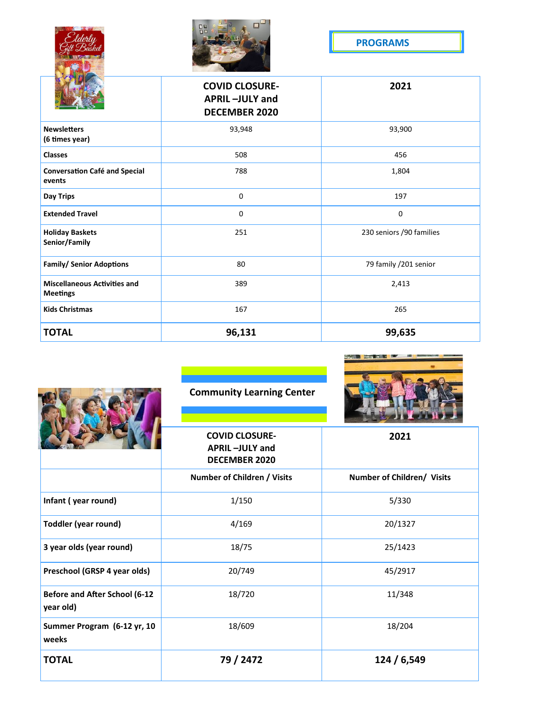|                                                        | $\Box$<br>n <sub>0</sub>                                        |                          |  |
|--------------------------------------------------------|-----------------------------------------------------------------|--------------------------|--|
|                                                        |                                                                 | <b>PROGRAMS</b>          |  |
|                                                        |                                                                 |                          |  |
|                                                        | <b>COVID CLOSURE-</b><br>APRIL-JULY and<br><b>DECEMBER 2020</b> | 2021                     |  |
| <b>Newsletters</b><br>(6 times year)                   | 93,948                                                          | 93,900                   |  |
| <b>Classes</b>                                         | 508                                                             | 456                      |  |
| <b>Conversation Café and Special</b><br>events         | 788                                                             | 1,804                    |  |
| <b>Day Trips</b>                                       | 0                                                               | 197                      |  |
| <b>Extended Travel</b>                                 | 0                                                               | 0                        |  |
| <b>Holiday Baskets</b><br>Senior/Family                | 251                                                             | 230 seniors /90 families |  |
| <b>Family/ Senior Adoptions</b>                        | 80                                                              | 79 family /201 senior    |  |
| <b>Miscellaneous Activities and</b><br><b>Meetings</b> | 389                                                             | 2,413                    |  |
| <b>Kids Christmas</b>                                  | 167                                                             | 265                      |  |
| <b>TOTAL</b>                                           | 96,131                                                          | 99,635                   |  |

|                                                   | <b>Community Learning Center</b>                                       |                            |  |
|---------------------------------------------------|------------------------------------------------------------------------|----------------------------|--|
|                                                   | <b>COVID CLOSURE-</b><br><b>APRIL-JULY and</b><br><b>DECEMBER 2020</b> | 2021                       |  |
|                                                   | Number of Children / Visits                                            | Number of Children/ Visits |  |
| Infant (year round)                               | 1/150                                                                  | 5/330                      |  |
| <b>Toddler (year round)</b>                       | 4/169                                                                  | 20/1327                    |  |
| 3 year olds (year round)                          | 18/75                                                                  | 25/1423                    |  |
| Preschool (GRSP 4 year olds)                      | 20/749                                                                 | 45/2917                    |  |
| <b>Before and After School (6-12</b><br>year old) | 18/720                                                                 | 11/348                     |  |
| Summer Program (6-12 yr, 10<br>weeks              | 18/609                                                                 | 18/204                     |  |
| <b>TOTAL</b>                                      | 79 / 2472                                                              | 124 / 6,549                |  |